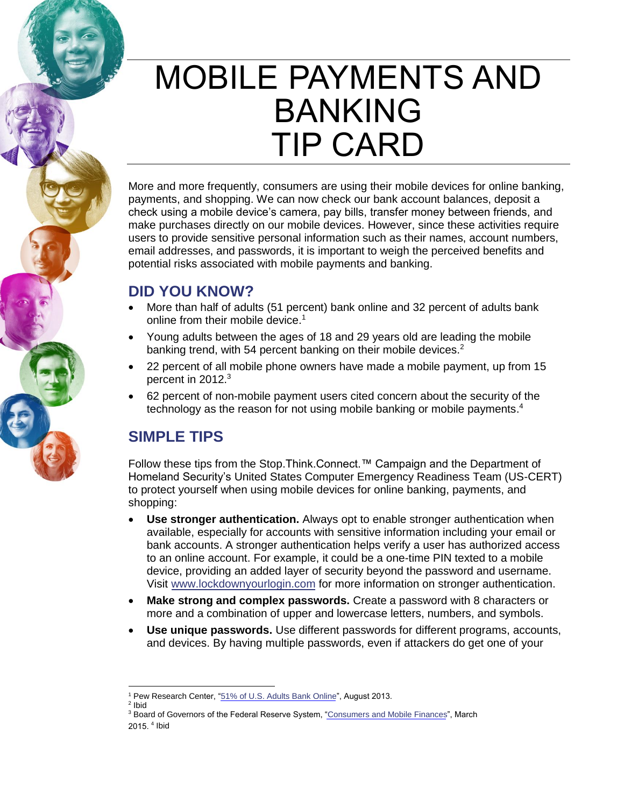

More and more frequently, consumers are using their mobile devices for online banking, payments, and shopping. We can now check our bank account balances, deposit a check using a mobile device's camera, pay bills, transfer money between friends, and make purchases directly on our mobile devices. However, since these activities require users to provide sensitive personal information such as their names, account numbers, email addresses, and passwords, it is important to weigh the perceived benefits and potential risks associated with mobile payments and banking.

## **DID YOU KNOW?**

- More than half of adults (51 percent) bank online and 32 percent of adults bank online from their mobile device.<sup>1</sup>
- Young adults between the ages of 18 and 29 years old are leading the mobile banking trend, with 54 percent banking on their mobile devices.<sup>2</sup>
- 22 percent of all mobile phone owners have made a mobile payment, up from 15 percent in 2012.<sup>3</sup>
- 62 percent of non-mobile payment users cited concern about the security of the technology as the reason for not using mobile banking or mobile payments.<sup>4</sup>

## **SIMPLE TIPS**

Follow these tips from the Stop.Think.Connect.™ Campaign and the Department of Homeland Security's United States Computer Emergency Readiness Team (US-CERT) to protect yourself when using mobile devices for online banking, payments, and shopping:

- **Use stronger authentication.** Always opt to enable stronger authentication when available, especially for accounts with sensitive information including your email or bank accounts. A stronger authentication helps verify a user has authorized access to an online account. For example, it could be a one-time PIN texted to a mobile device, providing an added layer of security beyond the password and username. Visit [www.lockdownyourlogin.com](http://www.lockdownyourlogin.com/) for more information on stronger authentication.
- **Make strong and complex passwords.** Create a password with 8 characters or more and a combination of upper and lowercase letters, numbers, and symbols.
- **Use unique passwords.** Use different passwords for different programs, accounts, and devices. By having multiple passwords, even if attackers do get one of your

<sup>1</sup> Pew Research Center, ["51% of U.S. Adults Bank Online"](http://www.pewinternet.org/2013/08/07/51-of-u-s-adults-bank-online/), August 2013.

<sup>2</sup> Ibid

<sup>&</sup>lt;sup>3</sup> Board of Governors of the Federal Reserve System, ["Consumers and Mobile Finances",](http://www.federalreserve.gov/econresdata/consumers-and-mobile-financial-services-report-201503.pdf) March 2015. <sup>4</sup> Ibid